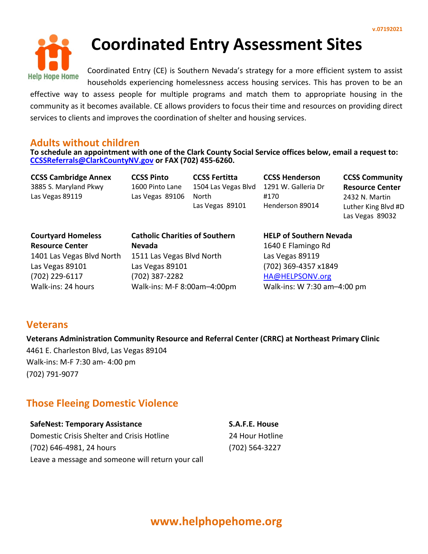

**Coordinated Entry Assessment Sites**

Coordinated Entry (CE) is Southern Nevada's strategy for a more efficient system to assist households experiencing homelessness access housing services. This has proven to be an

effective way to assess people for multiple programs and match them to appropriate housing in the community as it becomes available. CE allows providers to focus their time and resources on providing direct services to clients and improves the coordination of shelter and housing services.

### **Adults without children**

**To schedule an appointment with one of the Clark County Social Service offices below, email a request to: [CCSSReferrals@ClarkCountyNV.gov](mailto:CCSSReferrals@ClarkCountyNV.gov) or FAX (702) 455-6260.** 

**CCSS Cambridge Annex** 3885 S. Maryland Pkwy Las Vegas 89119

**CCSS Pinto**  1600 Pinto Lane Las Vegas 89106

**CCSS Fertitta** 1504 Las Vegas Blvd North Las Vegas 89101

**CCSS Henderson** 1291 W. Galleria Dr #170 Henderson 89014

**CCSS Community Resource Center** 2432 N. Martin Luther King Blvd #D Las Vegas 89032

**Courtyard Homeless Resource Center** 1401 Las Vegas Blvd North Las Vegas 89101 (702) 229-6117 Walk-ins: 24 hours

**Catholic Charities of Southern Nevada** 1511 Las Vegas Blvd North Las Vegas 89101 (702) 387-2282 Walk-ins: M-F 8:00am–4:00pm **HELP of Southern Nevada** 1640 E Flamingo Rd Las Vegas 89119 (702) 369-4357 x1849 [HA@HELPSONV.org](mailto:HA@HELPSONV.org) Walk-ins: W 7:30 am–4:00 pm

### **Veterans**

**Veterans Administration Community Resource and Referral Center (CRRC) at Northeast Primary Clinic** 4461 E. Charleston Blvd, Las Vegas 89104 Walk-ins: M-F 7:30 am- 4:00 pm (702) 791-9077

### **Those Fleeing Domestic Violence**

**SafeNest: Temporary Assistance** Domestic Crisis Shelter and Crisis Hotline (702) 646-4981, 24 hours

Leave a message and someone will return your call

**S.A.F.E. House**  24 Hour Hotline (702) 564-3227

# **www.helphopehome.org**